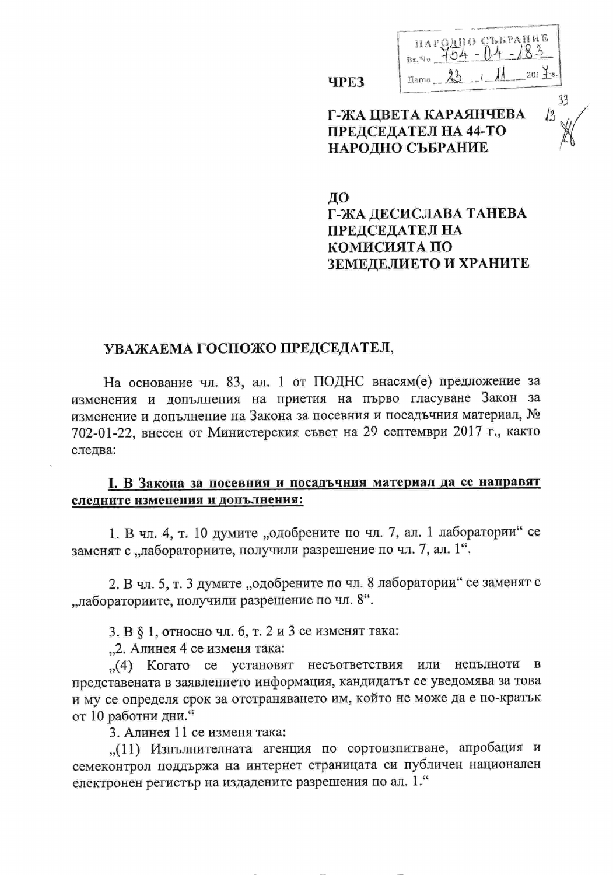| Bx, Nx |  |     |  |
|--------|--|-----|--|
|        |  | 201 |  |

# Г-ЖА ЦВЕТА КАРАЯНЧЕВА ПРЕДСЕДАТЕЛ НА 44-ТО НАРОДНО СЪБРАНИЕ

**YPE3** 

### ДΟ Г-ЖА ДЕСИСЛАВА ТАНЕВА ПРЕДСЕДАТЕЛ НА КОМИСИЯТА ПО ЗЕМЕДЕЛИЕТО И ХРАНИТЕ

#### УВАЖАЕМА ГОСПОЖО ПРЕДСЕДАТЕЛ,

На основание чл. 83, ал. 1 от ПОДНС внасям(е) предложение за изменения и допълнения на приетия на първо гласуване Закон за изменение и допълнение на Закона за посевния и посадъчния материал, № 702-01-22, внесен от Министерския съвет на 29 септември 2017 г., както следва:

### 1. В Закона за посевния и посадъчния материал да се направят следните изменения и допълнения:

1. В чл. 4, т. 10 думите "одобрените по чл. 7, ал. 1 лаборатории" се заменят с "лабораториите, получили разрешение по чл. 7, ал. 1".

2. В чл. 5, т. 3 думите "одобрените по чл. 8 лаборатории" се заменят с "лабораториите, получили разрешение по чл. 8".

3. В  $\S$  1, относно чл. 6, т. 2 и 3 се изменят така:

"2. Алинея 4 се изменя така:

"(4) Когато се установят несъответствия или непълноти в представената в заявлението информация, кандидатът се уведомява за това и му се определя срок за отстраняването им, който не може да е по-кратьк от 10 работни дни."

3. Алинея 11 се изменя така:

...(11) Изпълнителната агенция по сортоизпитване, апробация и семеконтрол поддържа на интернет страницата си публичен национален електронен регистър на издадените разрешения по ал. 1."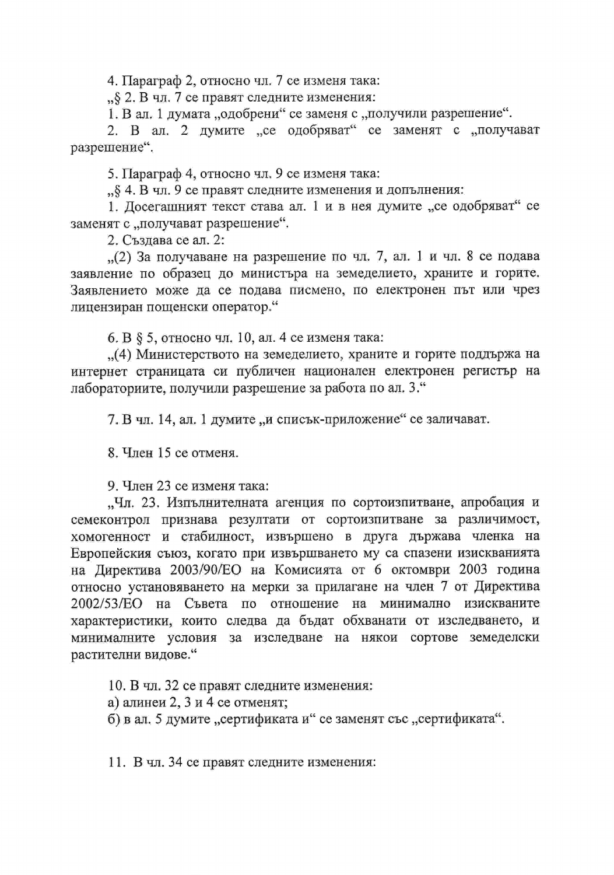4. Параграф 2, относно чл. 7 се изменя така:

"§ 2. В чл. 7 се правят следните изменения:

1. В ал. 1 думата "одобрени" се заменя с "получили разрешение".

2. В ал. 2 думите "ее одобряват" се заменят с "получават разрешение".

5. Параграф 4, относно чл. 9 се изменя така:

"§ 4. В чл. 9 се правят следните изменения и допълнения:

1. Досегашният текст става ал. 1 и в нея думите "се одобряват" се заменят с "получават разрешение".

2. Създава се ал. 2:

 $(2)$  За получаване на разрешение по чл. 7, ал. 1 и чл. 8 се подава заявление по образец до министъра на земеделието, храните и горите. Заявлението може да се подава писмено, по електронен път или чрез лицензиран пощенски оператор."

6. В  $\S$  5, относно чл. 10, ал. 4 се изменя така:

"(4) Министерството на земеделието, храните и горите поддържа на интернет страницата си публичен национален електронен регистър на лабораториите, получили разрешение за работа по ал. 3."

7. В чл. 14, ал. 1 думите "и списък-приложение" се заличават.

8. Член 15 се отменя.

9. Член 23 се изменя така:

"Чл. 23. Изпълнителната агенция по сортоизпитване, апробация и семеконтрол признава резултати от сортоизпитване за различимост, хомогенност и стабилност, извършено в друга държава членка на Европейския съюз, когато при извършването му са спазени изискванията на Директива 2003/90/ЕО на Комисията от 6 октомври 2003 година относно установяването на мерки за прилагане на член 7 от Директива 2002/53/ЕО на Съвета по отношение на минимално изискваните характеристики, които следва да бъдат обхванати от изследването, и минималните условия за изследване на някои сортове земеделски растителни видове."

10. В чл. 32 се правят следните изменения:

а) алинеи 2, 3 и 4 се отменят;

б) в ал. 5 думите "сертификата и" се заменят със "сертификата".

11. В чл. 34 се правят следните изменения: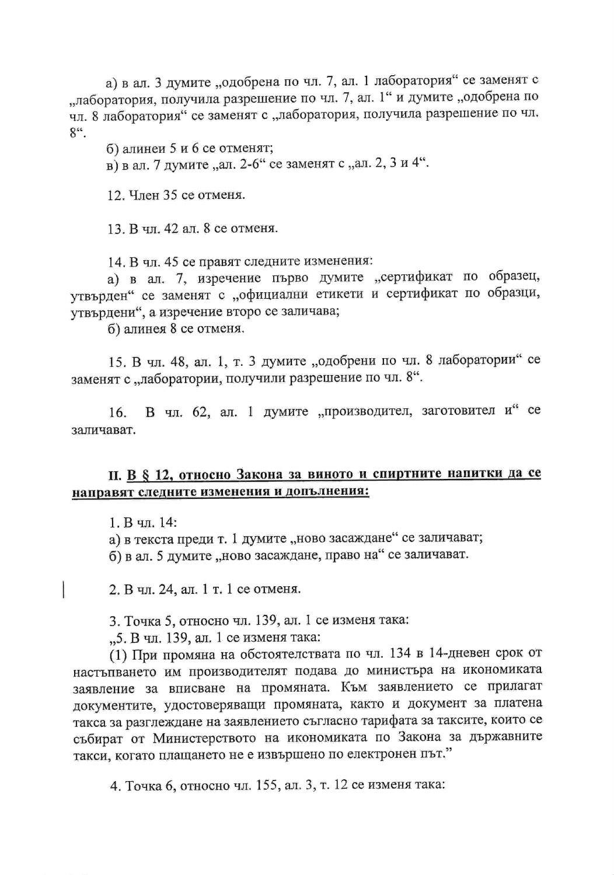а) в ал. 3 думите "одобрена по чл. 7, ал. 1 лаборатория" се заменят с "лаборатория, получила разрешение по чл. 7, ал. 1" и думите "одобрена по чл. 8 лаборатория" се заменят с "лаборатория, получила разрешение по чл.  $8^{\circ}$ .

б) алинеи 5 и 6 се отменят;

в) в ал. 7 думите "ал. 2-6" се заменят с "ал. 2, 3 и 4".

12. Член 35 се отменя.

13. В чл. 42 ал. 8 се отменя.

14. В чл. 45 се правят следните изменения:

а) в ал. 7, изречение първо думите "сертификат по образец, утвърден" се заменят с "официални етикети и сертификат по образци, утвърдени", а изречение второ се заличава;

б) алинея 8 се отменя.

15. В чл. 48, ал. 1, т. 3 думите "одобрени по чл. 8 лаборатории" се заменят с "лаборатории, получили разрешение по чл. 8".

В чл. 62, ал. 1 думите "производител, заготовител и" се  $16.$ заличават.

# П. В § 12, относно Закона за виното и спиртните напитки да се направят следните изменения и допълнения:

1. В чл. 14:

а) в текста преди т. 1 думите "ново засаждане" се заличават;

б) в ал. 5 думите "ново засаждане, право на" се заличават.

2. В чл. 24, ал. 1 т. 1 се отменя.

3. Точка 5, относно чл. 139, ал. 1 се изменя така:

"5. В чл. 139, ал. 1 се изменя така:

(1) При промяна на обстоятелствата по чл. 134 в 14-дневен срок от настъпването им производителят подава до министъра на икономиката заявление за вписване на промяната. Към заявлението се прилагат документите, удостоверяващи промяната, както и документ за платена такса за разглеждане на заявлението съгласно тарифата за таксите, които се събират от Министерството на икономиката по Закона за държавните такси, когато плащането не е извършено по електронен път."

4. Точка 6, относно чл. 155, ал. 3, т. 12 се изменя така: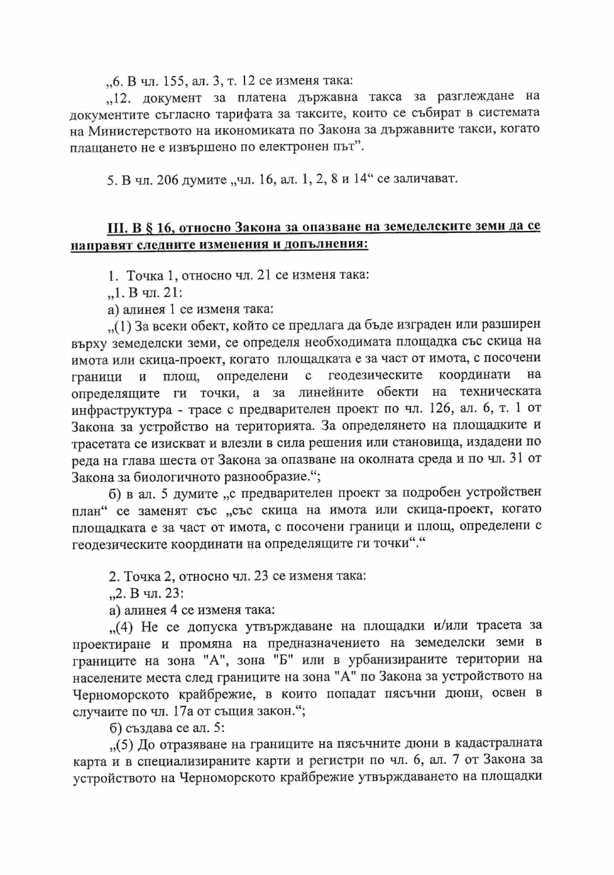., 6. В чл. 155, ал. 3, т. 12 се изменя така:

"12. документ за платена държавна такса за разглеждане на документите съгласно тарифата за таксите, които се събират в системата на Министерството на икономиката по Закона за държавните такси, когато плащането не е извършено по електронен път".

5. В чл. 206 думите "чл. 16, ал. 1, 2, 8 и 14" се заличават.

### III. В § 16, относно Закона за опазване на земеделските земи да се направят следните изменения и допълнения:

1. Точка 1, относно чл. 21 се изменя така:

 $, 1. B$  чл. 21:

а) алинея 1 се изменя така:

..(1) За всеки обект, който се предлага да бъде изграден или разширен върху земеделски земи, се определя необходимата площадка със скица на имота или скица-проект, когато площадката е за част от имота, с посочени координати площ, геодезическите на определени  $\mathbf{c}$ граници  $\mathbf{N}$ определящите ги точки, а за линейните обекти на техническата инфраструктура - трасе с предварителен проект по чл. 126, ал. 6, т. 1 от Закона за устройство на територията. За определянето на площадките и трасетата се изискват и влезли в сила решения или становища, издадени по реда на глава шеста от Закона за опазване на околната среда и по чл. 31 от Закона за биологичното разнообразие.";

б) в ал. 5 думите "с предварителен проект за подробен устройствен план" се заменят със "със скица на имота или скица-проект, когато площадката е за част от имота, с посочени граници и площ, определени с геодезическите координати на определящите ги точки"."

2. Точка 2, относно чл. 23 се изменя така:

"2. В чл. 23:

а) алинея 4 се изменя така:

"(4) Не се допуска утвърждаване на площадки и/или трасета за проектиране и промяна на предназначението на земеделски земи в границите на зона "А", зона "Б" или в урбанизираните територии на населените места след границите на зона "А" по Закона за устройството на Черноморското крайбрежие, в които попадат пясъчни дюни, освен в случаите по чл. 17а от същия закон.";

б) създава се ал. 5:

"(5) До отразяване на границите на пясъчните дюни в кадастралната карта и в специализираните карти и регистри по чл. 6, ал. 7 от Закона за устройството на Черноморското крайбрежие утвърждаването на площадки